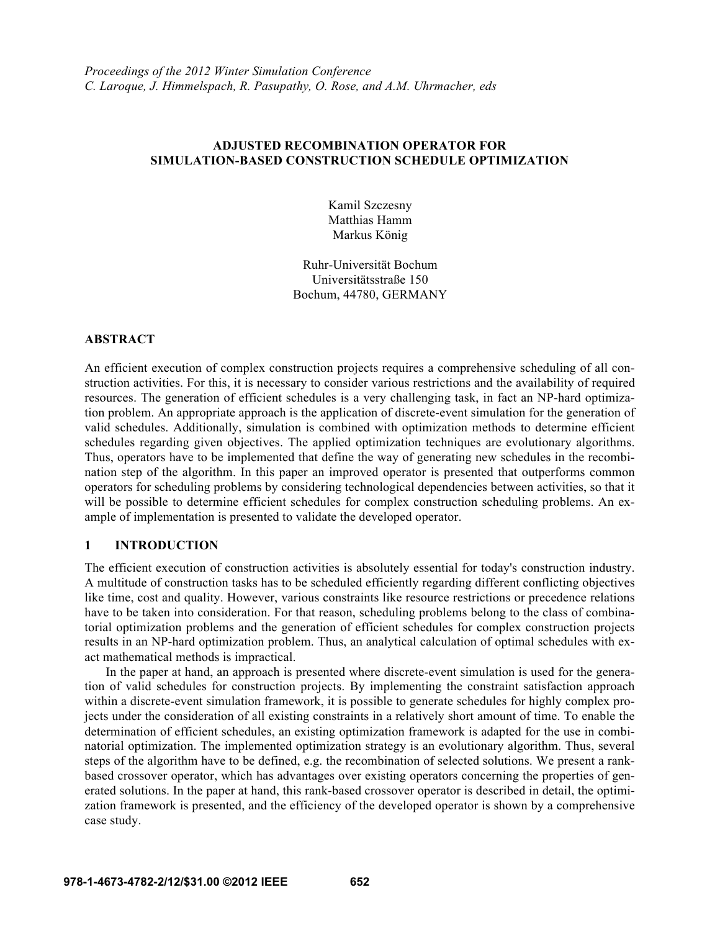# **ADJUSTED RECOMBINATION OPERATOR FOR SIMULATION-BASED CONSTRUCTION SCHEDULE OPTIMIZATION**

Kamil Szczesny Matthias Hamm Markus König

Ruhr-Universität Bochum Universitätsstraße 150 Bochum, 44780, GERMANY

## **ABSTRACT**

An efficient execution of complex construction projects requires a comprehensive scheduling of all construction activities. For this, it is necessary to consider various restrictions and the availability of required resources. The generation of efficient schedules is a very challenging task, in fact an NP-hard optimization problem. An appropriate approach is the application of discrete-event simulation for the generation of valid schedules. Additionally, simulation is combined with optimization methods to determine efficient schedules regarding given objectives. The applied optimization techniques are evolutionary algorithms. Thus, operators have to be implemented that define the way of generating new schedules in the recombination step of the algorithm. In this paper an improved operator is presented that outperforms common operators for scheduling problems by considering technological dependencies between activities, so that it will be possible to determine efficient schedules for complex construction scheduling problems. An example of implementation is presented to validate the developed operator.

# **1 INTRODUCTION**

The efficient execution of construction activities is absolutely essential for today's construction industry. A multitude of construction tasks has to be scheduled efficiently regarding different conflicting objectives like time, cost and quality. However, various constraints like resource restrictions or precedence relations have to be taken into consideration. For that reason, scheduling problems belong to the class of combinatorial optimization problems and the generation of efficient schedules for complex construction projects results in an NP-hard optimization problem. Thus, an analytical calculation of optimal schedules with exact mathematical methods is impractical.

In the paper at hand, an approach is presented where discrete-event simulation is used for the generation of valid schedules for construction projects. By implementing the constraint satisfaction approach within a discrete-event simulation framework, it is possible to generate schedules for highly complex projects under the consideration of all existing constraints in a relatively short amount of time. To enable the determination of efficient schedules, an existing optimization framework is adapted for the use in combinatorial optimization. The implemented optimization strategy is an evolutionary algorithm. Thus, several steps of the algorithm have to be defined, e.g. the recombination of selected solutions. We present a rankbased crossover operator, which has advantages over existing operators concerning the properties of generated solutions. In the paper at hand, this rank-based crossover operator is described in detail, the optimization framework is presented, and the efficiency of the developed operator is shown by a comprehensive case study.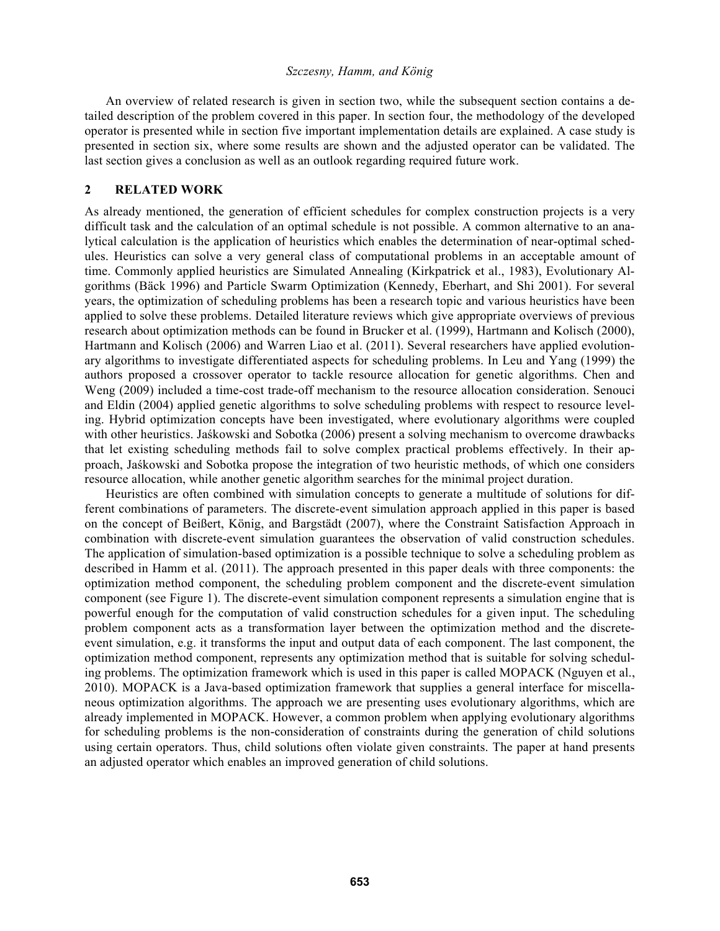An overview of related research is given in section two, while the subsequent section contains a detailed description of the problem covered in this paper. In section four, the methodology of the developed operator is presented while in section five important implementation details are explained. A case study is presented in section six, where some results are shown and the adjusted operator can be validated. The last section gives a conclusion as well as an outlook regarding required future work.

## **2 RELATED WORK**

As already mentioned, the generation of efficient schedules for complex construction projects is a very difficult task and the calculation of an optimal schedule is not possible. A common alternative to an analytical calculation is the application of heuristics which enables the determination of near-optimal schedules. Heuristics can solve a very general class of computational problems in an acceptable amount of time. Commonly applied heuristics are Simulated Annealing (Kirkpatrick et al., 1983), Evolutionary Algorithms (Bäck 1996) and Particle Swarm Optimization (Kennedy, Eberhart, and Shi 2001). For several years, the optimization of scheduling problems has been a research topic and various heuristics have been applied to solve these problems. Detailed literature reviews which give appropriate overviews of previous research about optimization methods can be found in Brucker et al. (1999), Hartmann and Kolisch (2000), Hartmann and Kolisch (2006) and Warren Liao et al. (2011). Several researchers have applied evolutionary algorithms to investigate differentiated aspects for scheduling problems. In Leu and Yang (1999) the authors proposed a crossover operator to tackle resource allocation for genetic algorithms. Chen and Weng (2009) included a time-cost trade-off mechanism to the resource allocation consideration. Senouci and Eldin (2004) applied genetic algorithms to solve scheduling problems with respect to resource leveling. Hybrid optimization concepts have been investigated, where evolutionary algorithms were coupled with other heuristics. Jaśkowski and Sobotka (2006) present a solving mechanism to overcome drawbacks that let existing scheduling methods fail to solve complex practical problems effectively. In their approach, Jaśkowski and Sobotka propose the integration of two heuristic methods, of which one considers resource allocation, while another genetic algorithm searches for the minimal project duration.

Heuristics are often combined with simulation concepts to generate a multitude of solutions for different combinations of parameters. The discrete-event simulation approach applied in this paper is based on the concept of Beißert, König, and Bargstädt (2007), where the Constraint Satisfaction Approach in combination with discrete-event simulation guarantees the observation of valid construction schedules. The application of simulation-based optimization is a possible technique to solve a scheduling problem as described in Hamm et al. (2011). The approach presented in this paper deals with three components: the optimization method component, the scheduling problem component and the discrete-event simulation component (see Figure 1). The discrete-event simulation component represents a simulation engine that is powerful enough for the computation of valid construction schedules for a given input. The scheduling problem component acts as a transformation layer between the optimization method and the discreteevent simulation, e.g. it transforms the input and output data of each component. The last component, the optimization method component, represents any optimization method that is suitable for solving scheduling problems. The optimization framework which is used in this paper is called MOPACK (Nguyen et al., 2010). MOPACK is a Java-based optimization framework that supplies a general interface for miscellaneous optimization algorithms. The approach we are presenting uses evolutionary algorithms, which are already implemented in MOPACK. However, a common problem when applying evolutionary algorithms for scheduling problems is the non-consideration of constraints during the generation of child solutions using certain operators. Thus, child solutions often violate given constraints. The paper at hand presents an adjusted operator which enables an improved generation of child solutions.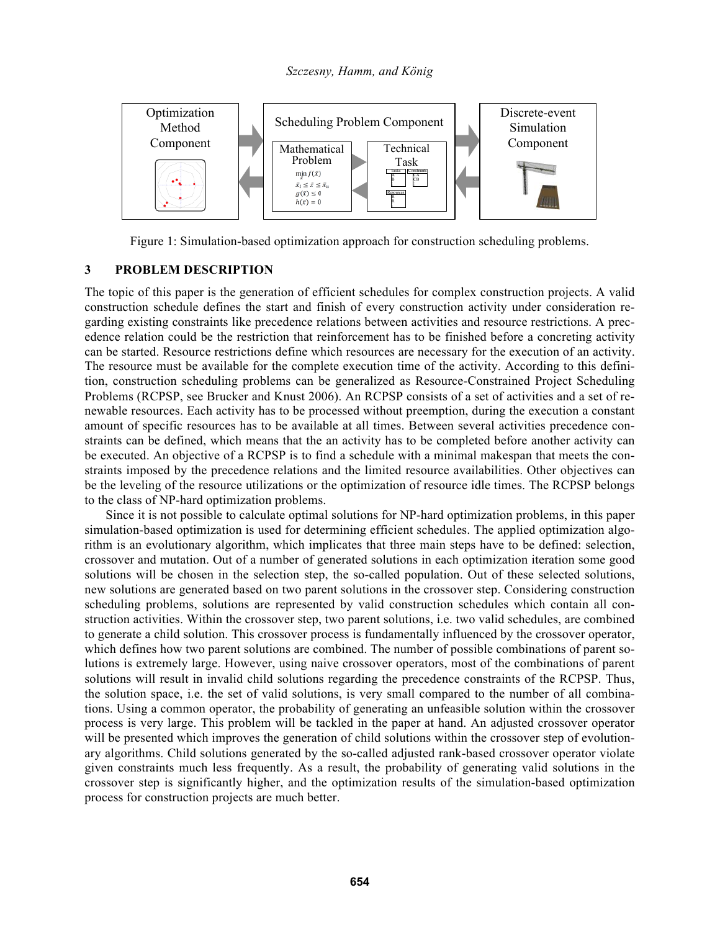

Figure 1: Simulation-based optimization approach for construction scheduling problems.

## **3 PROBLEM DESCRIPTION**

The topic of this paper is the generation of efficient schedules for complex construction projects. A valid construction schedule defines the start and finish of every construction activity under consideration regarding existing constraints like precedence relations between activities and resource restrictions. A precedence relation could be the restriction that reinforcement has to be finished before a concreting activity can be started. Resource restrictions define which resources are necessary for the execution of an activity. The resource must be available for the complete execution time of the activity. According to this definition, construction scheduling problems can be generalized as Resource-Constrained Project Scheduling Problems (RCPSP, see Brucker and Knust 2006). An RCPSP consists of a set of activities and a set of renewable resources. Each activity has to be processed without preemption, during the execution a constant amount of specific resources has to be available at all times. Between several activities precedence constraints can be defined, which means that the an activity has to be completed before another activity can be executed. An objective of a RCPSP is to find a schedule with a minimal makespan that meets the constraints imposed by the precedence relations and the limited resource availabilities. Other objectives can be the leveling of the resource utilizations or the optimization of resource idle times. The RCPSP belongs to the class of NP-hard optimization problems.

Since it is not possible to calculate optimal solutions for NP-hard optimization problems, in this paper simulation-based optimization is used for determining efficient schedules. The applied optimization algorithm is an evolutionary algorithm, which implicates that three main steps have to be defined: selection, crossover and mutation. Out of a number of generated solutions in each optimization iteration some good solutions will be chosen in the selection step, the so-called population. Out of these selected solutions, new solutions are generated based on two parent solutions in the crossover step. Considering construction scheduling problems, solutions are represented by valid construction schedules which contain all construction activities. Within the crossover step, two parent solutions, i.e. two valid schedules, are combined to generate a child solution. This crossover process is fundamentally influenced by the crossover operator, which defines how two parent solutions are combined. The number of possible combinations of parent solutions is extremely large. However, using naive crossover operators, most of the combinations of parent solutions will result in invalid child solutions regarding the precedence constraints of the RCPSP. Thus, the solution space, i.e. the set of valid solutions, is very small compared to the number of all combinations. Using a common operator, the probability of generating an unfeasible solution within the crossover process is very large. This problem will be tackled in the paper at hand. An adjusted crossover operator will be presented which improves the generation of child solutions within the crossover step of evolutionary algorithms. Child solutions generated by the so-called adjusted rank-based crossover operator violate given constraints much less frequently. As a result, the probability of generating valid solutions in the crossover step is significantly higher, and the optimization results of the simulation-based optimization process for construction projects are much better.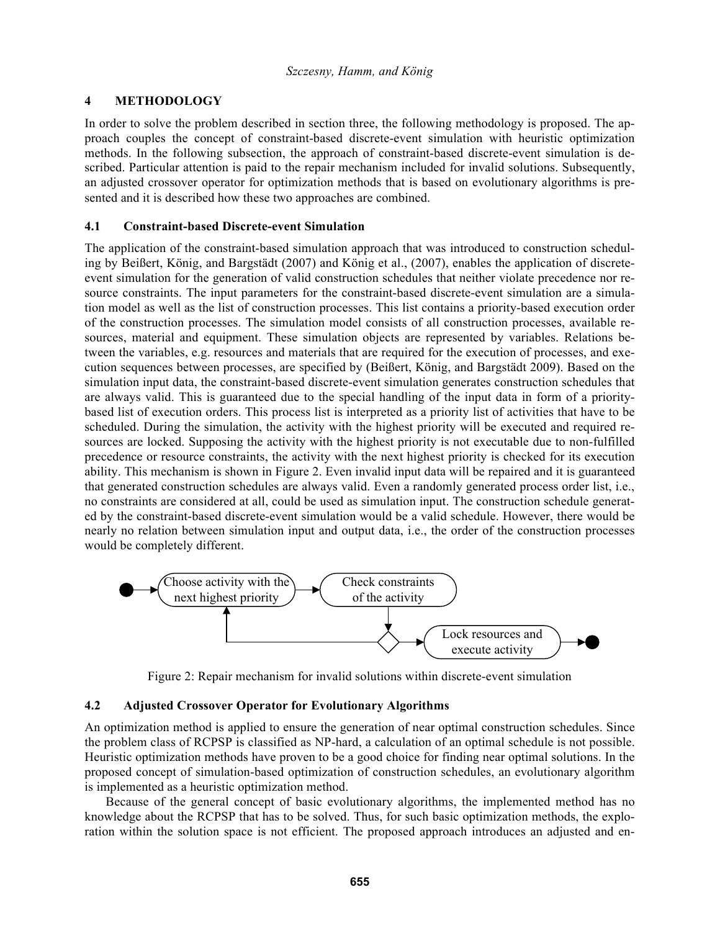# **4 METHODOLOGY**

In order to solve the problem described in section three, the following methodology is proposed. The approach couples the concept of constraint-based discrete-event simulation with heuristic optimization methods. In the following subsection, the approach of constraint-based discrete-event simulation is described. Particular attention is paid to the repair mechanism included for invalid solutions. Subsequently, an adjusted crossover operator for optimization methods that is based on evolutionary algorithms is presented and it is described how these two approaches are combined.

# **4.1 Constraint-based Discrete-event Simulation**

The application of the constraint-based simulation approach that was introduced to construction scheduling by Beißert, König, and Bargstädt (2007) and König et al., (2007), enables the application of discreteevent simulation for the generation of valid construction schedules that neither violate precedence nor resource constraints. The input parameters for the constraint-based discrete-event simulation are a simulation model as well as the list of construction processes. This list contains a priority-based execution order of the construction processes. The simulation model consists of all construction processes, available resources, material and equipment. These simulation objects are represented by variables. Relations between the variables, e.g. resources and materials that are required for the execution of processes, and execution sequences between processes, are specified by (Beißert, König, and Bargstädt 2009). Based on the simulation input data, the constraint-based discrete-event simulation generates construction schedules that are always valid. This is guaranteed due to the special handling of the input data in form of a prioritybased list of execution orders. This process list is interpreted as a priority list of activities that have to be scheduled. During the simulation, the activity with the highest priority will be executed and required resources are locked. Supposing the activity with the highest priority is not executable due to non-fulfilled precedence or resource constraints, the activity with the next highest priority is checked for its execution ability. This mechanism is shown in Figure 2. Even invalid input data will be repaired and it is guaranteed that generated construction schedules are always valid. Even a randomly generated process order list, i.e., no constraints are considered at all, could be used as simulation input. The construction schedule generated by the constraint-based discrete-event simulation would be a valid schedule. However, there would be nearly no relation between simulation input and output data, i.e., the order of the construction processes would be completely different.



Figure 2: Repair mechanism for invalid solutions within discrete-event simulation

# **4.2 Adjusted Crossover Operator for Evolutionary Algorithms**

An optimization method is applied to ensure the generation of near optimal construction schedules. Since the problem class of RCPSP is classified as NP-hard, a calculation of an optimal schedule is not possible. Heuristic optimization methods have proven to be a good choice for finding near optimal solutions. In the proposed concept of simulation-based optimization of construction schedules, an evolutionary algorithm is implemented as a heuristic optimization method.

Because of the general concept of basic evolutionary algorithms, the implemented method has no knowledge about the RCPSP that has to be solved. Thus, for such basic optimization methods, the exploration within the solution space is not efficient. The proposed approach introduces an adjusted and en-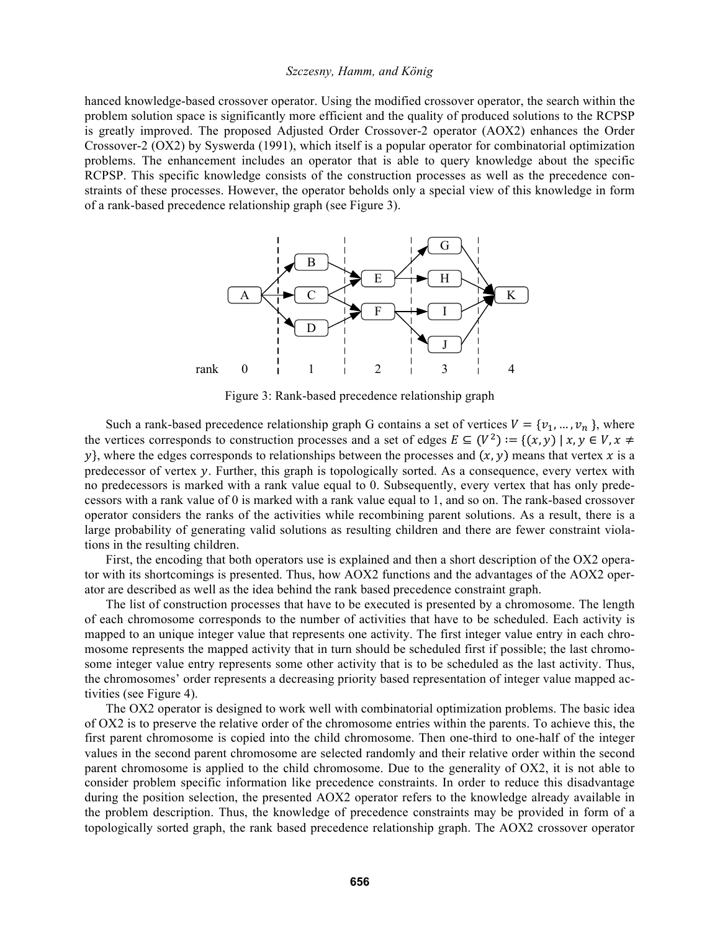hanced knowledge-based crossover operator. Using the modified crossover operator, the search within the problem solution space is significantly more efficient and the quality of produced solutions to the RCPSP is greatly improved. The proposed Adjusted Order Crossover-2 operator (AOX2) enhances the Order Crossover-2 (OX2) by Syswerda (1991), which itself is a popular operator for combinatorial optimization problems. The enhancement includes an operator that is able to query knowledge about the specific RCPSP. This specific knowledge consists of the construction processes as well as the precedence constraints of these processes. However, the operator beholds only a special view of this knowledge in form of a rank-based precedence relationship graph (see Figure 3).



Figure 3: Rank-based precedence relationship graph

Such a rank-based precedence relationship graph G contains a set of vertices  $V = \{v_1, ..., v_n\}$ , where the vertices corresponds to construction processes and a set of edges  $E \subseteq (V^2) := \{(x, y) \mid x, y \in V, x \neq 0\}$  $y$ , where the edges corresponds to relationships between the processes and  $(x, y)$  means that vertex x is a predecessor of vertex  $y$ . Further, this graph is topologically sorted. As a consequence, every vertex with no predecessors is marked with a rank value equal to 0. Subsequently, every vertex that has only predecessors with a rank value of 0 is marked with a rank value equal to 1, and so on. The rank-based crossover operator considers the ranks of the activities while recombining parent solutions. As a result, there is a large probability of generating valid solutions as resulting children and there are fewer constraint violations in the resulting children.

First, the encoding that both operators use is explained and then a short description of the OX2 operator with its shortcomings is presented. Thus, how AOX2 functions and the advantages of the AOX2 operator are described as well as the idea behind the rank based precedence constraint graph.

The list of construction processes that have to be executed is presented by a chromosome. The length of each chromosome corresponds to the number of activities that have to be scheduled. Each activity is mapped to an unique integer value that represents one activity. The first integer value entry in each chromosome represents the mapped activity that in turn should be scheduled first if possible; the last chromosome integer value entry represents some other activity that is to be scheduled as the last activity. Thus, the chromosomes' order represents a decreasing priority based representation of integer value mapped activities (see Figure 4).

The OX2 operator is designed to work well with combinatorial optimization problems. The basic idea of OX2 is to preserve the relative order of the chromosome entries within the parents. To achieve this, the first parent chromosome is copied into the child chromosome. Then one-third to one-half of the integer values in the second parent chromosome are selected randomly and their relative order within the second parent chromosome is applied to the child chromosome. Due to the generality of OX2, it is not able to consider problem specific information like precedence constraints. In order to reduce this disadvantage during the position selection, the presented AOX2 operator refers to the knowledge already available in the problem description. Thus, the knowledge of precedence constraints may be provided in form of a topologically sorted graph, the rank based precedence relationship graph. The AOX2 crossover operator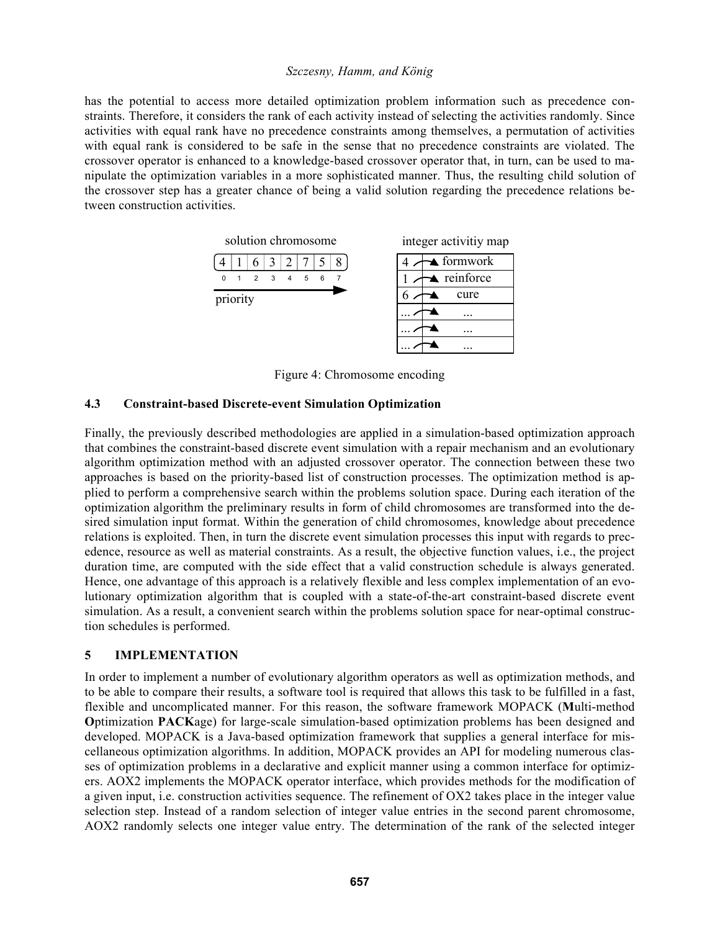has the potential to access more detailed optimization problem information such as precedence constraints. Therefore, it considers the rank of each activity instead of selecting the activities randomly. Since activities with equal rank have no precedence constraints among themselves, a permutation of activities with equal rank is considered to be safe in the sense that no precedence constraints are violated. The crossover operator is enhanced to a knowledge-based crossover operator that, in turn, can be used to manipulate the optimization variables in a more sophisticated manner. Thus, the resulting child solution of the crossover step has a greater chance of being a valid solution regarding the precedence relations between construction activities.



| 4 | $\triangle$ formwork |
|---|----------------------|
|   | reinforce            |
| 6 | cure                 |
|   |                      |
|   |                      |
|   |                      |

integer activitiy map

Figure 4: Chromosome encoding

# **4.3 Constraint-based Discrete-event Simulation Optimization**

Finally, the previously described methodologies are applied in a simulation-based optimization approach that combines the constraint-based discrete event simulation with a repair mechanism and an evolutionary algorithm optimization method with an adjusted crossover operator. The connection between these two approaches is based on the priority-based list of construction processes. The optimization method is applied to perform a comprehensive search within the problems solution space. During each iteration of the optimization algorithm the preliminary results in form of child chromosomes are transformed into the desired simulation input format. Within the generation of child chromosomes, knowledge about precedence relations is exploited. Then, in turn the discrete event simulation processes this input with regards to precedence, resource as well as material constraints. As a result, the objective function values, i.e., the project duration time, are computed with the side effect that a valid construction schedule is always generated. Hence, one advantage of this approach is a relatively flexible and less complex implementation of an evolutionary optimization algorithm that is coupled with a state-of-the-art constraint-based discrete event simulation. As a result, a convenient search within the problems solution space for near-optimal construction schedules is performed.

# **5 IMPLEMENTATION**

In order to implement a number of evolutionary algorithm operators as well as optimization methods, and to be able to compare their results, a software tool is required that allows this task to be fulfilled in a fast, flexible and uncomplicated manner. For this reason, the software framework MOPACK (**M**ulti-method **O**ptimization **PACK**age) for large-scale simulation-based optimization problems has been designed and developed. MOPACK is a Java-based optimization framework that supplies a general interface for miscellaneous optimization algorithms. In addition, MOPACK provides an API for modeling numerous classes of optimization problems in a declarative and explicit manner using a common interface for optimizers. AOX2 implements the MOPACK operator interface, which provides methods for the modification of a given input, i.e. construction activities sequence. The refinement of OX2 takes place in the integer value selection step. Instead of a random selection of integer value entries in the second parent chromosome, AOX2 randomly selects one integer value entry. The determination of the rank of the selected integer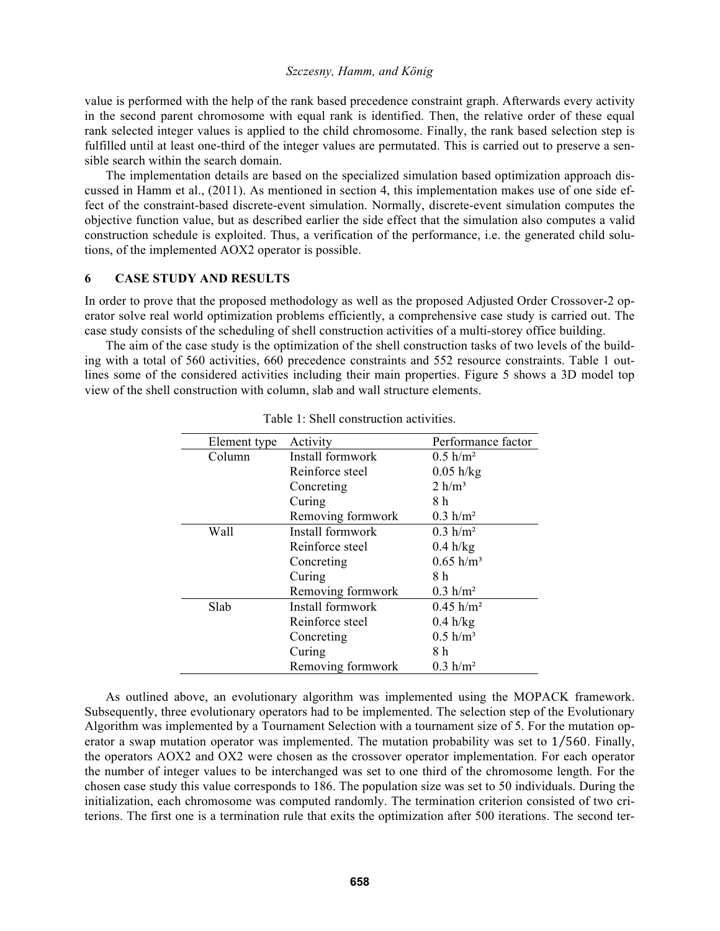value is performed with the help of the rank based precedence constraint graph. Afterwards every activity in the second parent chromosome with equal rank is identified. Then, the relative order of these equal rank selected integer values is applied to the child chromosome. Finally, the rank based selection step is fulfilled until at least one-third of the integer values are permutated. This is carried out to preserve a sensible search within the search domain.

The implementation details are based on the specialized simulation based optimization approach discussed in Hamm et al., (2011). As mentioned in section 4, this implementation makes use of one side effect of the constraint-based discrete-event simulation. Normally, discrete-event simulation computes the objective function value, but as described earlier the side effect that the simulation also computes a valid construction schedule is exploited. Thus, a verification of the performance, i.e. the generated child solutions, of the implemented AOX2 operator is possible.

## **6 CASE STUDY AND RESULTS**

In order to prove that the proposed methodology as well as the proposed Adjusted Order Crossover-2 operator solve real world optimization problems efficiently, a comprehensive case study is carried out. The case study consists of the scheduling of shell construction activities of a multi-storey office building.

The aim of the case study is the optimization of the shell construction tasks of two levels of the building with a total of 560 activities, 660 precedence constraints and 552 resource constraints. Table 1 outlines some of the considered activities including their main properties. Figure 5 shows a 3D model top view of the shell construction with column, slab and wall structure elements.

| Element type | Activity          | Performance factor    |
|--------------|-------------------|-----------------------|
| Column       | Install formwork  | 0.5 h/m <sup>2</sup>  |
|              | Reinforce steel   | 0.05 h/kg             |
|              | Concreting        | 2 h/m <sup>3</sup>    |
|              | Curing            | 8 h                   |
|              | Removing formwork | 0.3 h/m <sup>2</sup>  |
| Wall         | Install formwork  | 0.3 h/m <sup>2</sup>  |
|              | Reinforce steel   | 0.4 h/kg              |
|              | Concreting        | 0.65 h/m <sup>3</sup> |
|              | Curing            | 8 h                   |
|              | Removing formwork | 0.3 h/m <sup>2</sup>  |
| Slab         | Install formwork  | 0.45 h/m <sup>2</sup> |
|              | Reinforce steel   | 0.4 h/kg              |
|              | Concreting        | 0.5 h/m <sup>3</sup>  |
|              | Curing            | 8 h                   |
|              | Removing formwork | 0.3 h/m <sup>2</sup>  |

Table 1: Shell construction activities.

As outlined above, an evolutionary algorithm was implemented using the MOPACK framework. Subsequently, three evolutionary operators had to be implemented. The selection step of the Evolutionary Algorithm was implemented by a Tournament Selection with a tournament size of 5. For the mutation operator a swap mutation operator was implemented. The mutation probability was set to  $1/560$ . Finally, the operators AOX2 and OX2 were chosen as the crossover operator implementation. For each operator the number of integer values to be interchanged was set to one third of the chromosome length. For the chosen case study this value corresponds to 186. The population size was set to 50 individuals. During the initialization, each chromosome was computed randomly. The termination criterion consisted of two criterions. The first one is a termination rule that exits the optimization after 500 iterations. The second ter-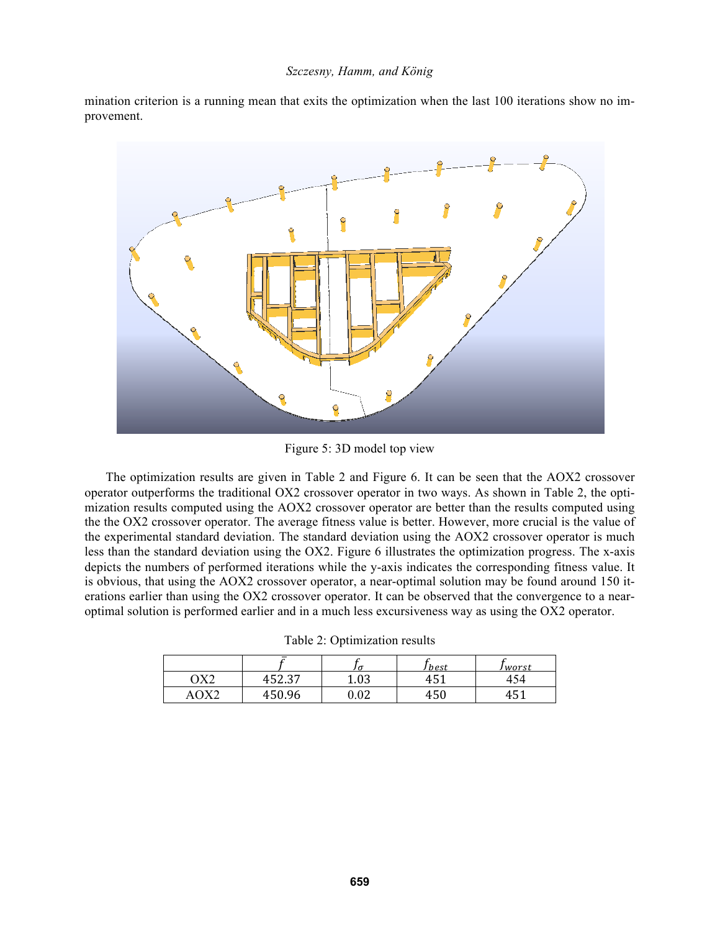mination criterion is a running mean that exits the optimization when the last 100 iterations show no improvement.



Figure 5: 3D model top view

The optimization results are given in Table 2 and Figure 6. It can be seen that the AOX2 crossover operator outperforms the traditional OX2 crossover operator in two ways. As shown in Table 2, the optimization results computed using the AOX2 crossover operator are better than the results computed using the the OX2 crossover operator. The average fitness value is better. However, more crucial is the value of the experimental standard deviation. The standard deviation using the AOX2 crossover operator is much less than the standard deviation using the OX2. Figure 6 illustrates the optimization progress. The x-axis depicts the numbers of performed iterations while the y-axis indicates the corresponding fitness value. It is obvious, that using the AOX2 crossover operator, a near-optimal solution may be found around 150 iterations earlier than using the OX2 crossover operator. It can be observed that the convergence to a nearoptimal solution is performed earlier and in a much less excursiveness way as using the OX2 operator.

| Table 2: Optimization results |  |  |
|-------------------------------|--|--|
|                               |  |  |

|              | $\sim$ |           | l best | I worst |
|--------------|--------|-----------|--------|---------|
| $\mathbf{v}$ | 452.37 | 1.03      | 451    | 454     |
|              | 450.96 | $\Lambda$ | 450    |         |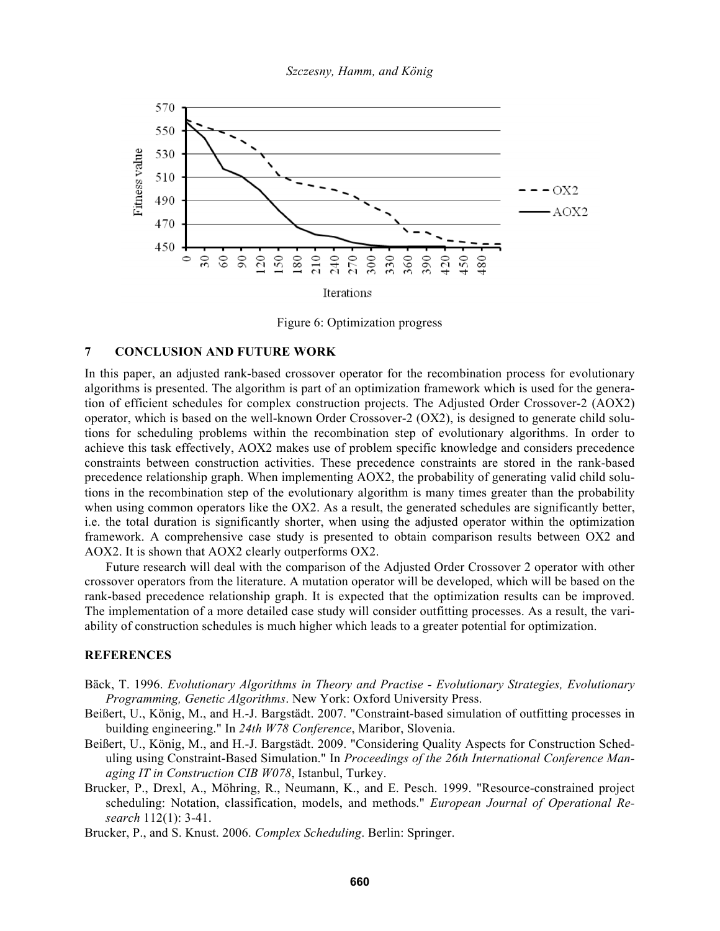*Szczesny, Hamm, and König* 



Figure 6: Optimization progress

## **7 CONCLUSION AND FUTURE WORK**

In this paper, an adjusted rank-based crossover operator for the recombination process for evolutionary algorithms is presented. The algorithm is part of an optimization framework which is used for the generation of efficient schedules for complex construction projects. The Adjusted Order Crossover-2 (AOX2) operator, which is based on the well-known Order Crossover-2 (OX2), is designed to generate child solutions for scheduling problems within the recombination step of evolutionary algorithms. In order to achieve this task effectively, AOX2 makes use of problem specific knowledge and considers precedence constraints between construction activities. These precedence constraints are stored in the rank-based precedence relationship graph. When implementing AOX2, the probability of generating valid child solutions in the recombination step of the evolutionary algorithm is many times greater than the probability when using common operators like the OX2. As a result, the generated schedules are significantly better, i.e. the total duration is significantly shorter, when using the adjusted operator within the optimization framework. A comprehensive case study is presented to obtain comparison results between OX2 and AOX2. It is shown that AOX2 clearly outperforms OX2.

Future research will deal with the comparison of the Adjusted Order Crossover 2 operator with other crossover operators from the literature. A mutation operator will be developed, which will be based on the rank-based precedence relationship graph. It is expected that the optimization results can be improved. The implementation of a more detailed case study will consider outfitting processes. As a result, the variability of construction schedules is much higher which leads to a greater potential for optimization.

#### **REFERENCES**

- Bäck, T. 1996. *Evolutionary Algorithms in Theory and Practise Evolutionary Strategies, Evolutionary Programming, Genetic Algorithms*. New York: Oxford University Press.
- Beißert, U., König, M., and H.-J. Bargstädt. 2007. "Constraint-based simulation of outfitting processes in building engineering." In *24th W78 Conference*, Maribor, Slovenia.
- Beißert, U., König, M., and H.-J. Bargstädt. 2009. "Considering Quality Aspects for Construction Scheduling using Constraint-Based Simulation." In *Proceedings of the 26th International Conference Managing IT in Construction CIB W078*, Istanbul, Turkey.
- Brucker, P., Drexl, A., Möhring, R., Neumann, K., and E. Pesch. 1999. "Resource-constrained project scheduling: Notation, classification, models, and methods." *European Journal of Operational Research* 112(1): 3-41.

Brucker, P., and S. Knust. 2006. *Complex Scheduling*. Berlin: Springer.